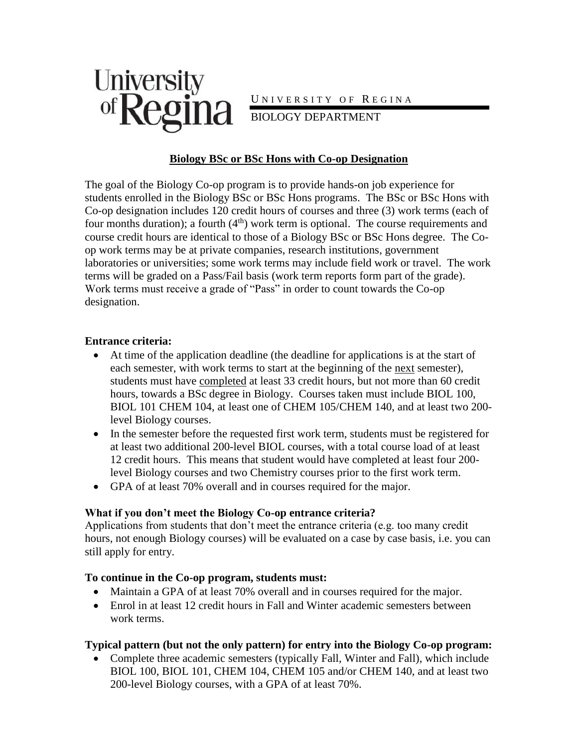

#### **Biology BSc or BSc Hons with Co-op Designation**

The goal of the Biology Co-op program is to provide hands-on job experience for students enrolled in the Biology BSc or BSc Hons programs. The BSc or BSc Hons with Co-op designation includes 120 credit hours of courses and three (3) work terms (each of four months duration); a fourth  $(4<sup>th</sup>)$  work term is optional. The course requirements and course credit hours are identical to those of a Biology BSc or BSc Hons degree. The Coop work terms may be at private companies, research institutions, government laboratories or universities; some work terms may include field work or travel. The work terms will be graded on a Pass/Fail basis (work term reports form part of the grade). Work terms must receive a grade of "Pass" in order to count towards the Co-op designation.

#### **Entrance criteria:**

- At time of the application deadline (the deadline for applications is at the start of each semester, with work terms to start at the beginning of the next semester), students must have completed at least 33 credit hours, but not more than 60 credit hours, towards a BSc degree in Biology. Courses taken must include BIOL 100, BIOL 101 CHEM 104, at least one of CHEM 105/CHEM 140, and at least two 200 level Biology courses.
- In the semester before the requested first work term, students must be registered for at least two additional 200-level BIOL courses, with a total course load of at least 12 credit hours. This means that student would have completed at least four 200 level Biology courses and two Chemistry courses prior to the first work term.
- GPA of at least 70% overall and in courses required for the major.

#### **What if you don't meet the Biology Co-op entrance criteria?**

Applications from students that don't meet the entrance criteria (e.g. too many credit hours, not enough Biology courses) will be evaluated on a case by case basis, i.e. you can still apply for entry.

#### **To continue in the Co-op program, students must:**

- Maintain a GPA of at least 70% overall and in courses required for the major.
- Enrol in at least 12 credit hours in Fall and Winter academic semesters between work terms.

#### **Typical pattern (but not the only pattern) for entry into the Biology Co-op program:**

 Complete three academic semesters (typically Fall, Winter and Fall), which include BIOL 100, BIOL 101, CHEM 104, CHEM 105 and/or CHEM 140, and at least two 200-level Biology courses, with a GPA of at least 70%.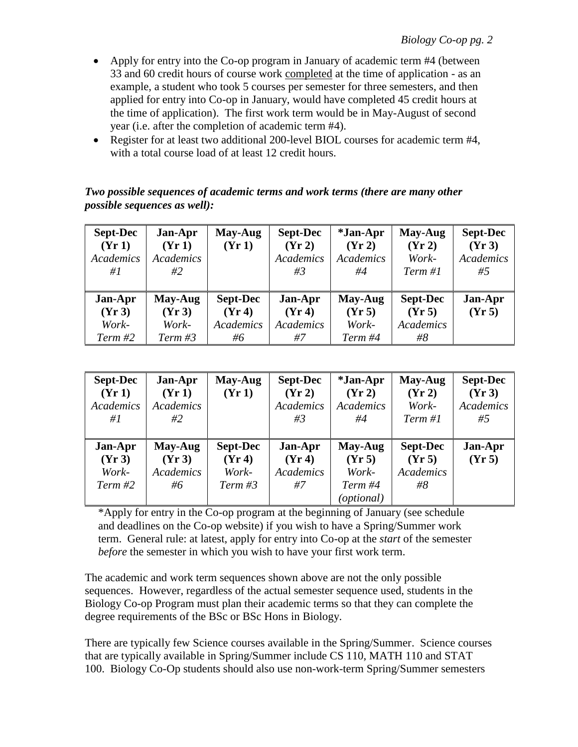- Apply for entry into the Co-op program in January of academic term #4 (between 33 and 60 credit hours of course work completed at the time of application - as an example, a student who took 5 courses per semester for three semesters, and then applied for entry into Co-op in January, would have completed 45 credit hours at the time of application). The first work term would be in May-August of second year (i.e. after the completion of academic term #4).
- Register for at least two additional 200-level BIOL courses for academic term #4, with a total course load of at least 12 credit hours.

#### *Two possible sequences of academic terms and work terms (there are many other possible sequences as well):*

| <b>Sept-Dec</b><br>(Yr1)<br><b>Academics</b><br># $l$ | Jan-Apr<br>(Yr1)<br>Academics<br>#2  | May-Aug<br>(Yr1)                                    | <b>Sept-Dec</b><br>(Yr 2)<br><b>Academics</b><br>#3 | <i>*Jan-Apr</i><br>(Yr 2)<br><b>Academics</b><br>#4 | May-Aug<br>(Yr 2)<br>Work-<br>Term #1           | <b>Sept-Dec</b><br>(Yr 3)<br>Academics<br>#5 |
|-------------------------------------------------------|--------------------------------------|-----------------------------------------------------|-----------------------------------------------------|-----------------------------------------------------|-------------------------------------------------|----------------------------------------------|
| Jan-Apr<br>(Yr 3)<br>Work-<br>Term#2                  | May-Aug<br>(Yr 3)<br>Work-<br>Term#3 | <b>Sept-Dec</b><br>(Yr 4)<br><b>Academics</b><br>#6 | Jan-Apr<br>(Yr 4)<br><b>Academics</b><br>#7         | May-Aug<br>(Yr 5)<br>Work-<br>Term #4               | <b>Sept-Dec</b><br>(Yr 5)<br>Academics<br>$\#8$ | Jan-Apr<br>(Yr 5)                            |

| <b>Sept-Dec</b><br>(Yr1)<br>Academics<br>#1 | Jan-Apr<br>(Yr1)<br>Academics<br>#2         | May-Aug<br>(Yr1)                             | <b>Sept-Dec</b><br>(Yr 2)<br><b>Academics</b><br>#3 | <i>*Jan-Apr</i><br>(Yr 2)<br>Academics<br>#4        | May-Aug<br>(Yr 2)<br>Work-<br>Term #1                  | <b>Sept-Dec</b><br>(Yr 3)<br>Academics<br>#5 |
|---------------------------------------------|---------------------------------------------|----------------------------------------------|-----------------------------------------------------|-----------------------------------------------------|--------------------------------------------------------|----------------------------------------------|
| Jan-Apr<br>(Yr 3)<br>Work-<br>Term#2        | May-Aug<br>(Yr 3)<br><b>Academics</b><br>#6 | <b>Sept-Dec</b><br>(Yr 4)<br>Work-<br>Term#3 | Jan-Apr<br>(Yr 4)<br>Academics<br>#7                | May-Aug<br>(Yr 5)<br>Work-<br>Term #4<br>(optional) | <b>Sept-Dec</b><br>(Yr 5)<br><b>Academics</b><br>$\#8$ | Jan-Apr<br>(Yr 5)                            |

\*Apply for entry in the Co-op program at the beginning of January (see schedule and deadlines on the Co-op website) if you wish to have a Spring/Summer work term. General rule: at latest, apply for entry into Co-op at the *start* of the semester *before* the semester in which you wish to have your first work term.

The academic and work term sequences shown above are not the only possible sequences. However, regardless of the actual semester sequence used, students in the Biology Co-op Program must plan their academic terms so that they can complete the degree requirements of the BSc or BSc Hons in Biology.

There are typically few Science courses available in the Spring/Summer. Science courses that are typically available in Spring/Summer include CS 110, MATH 110 and STAT 100. Biology Co-Op students should also use non-work-term Spring/Summer semesters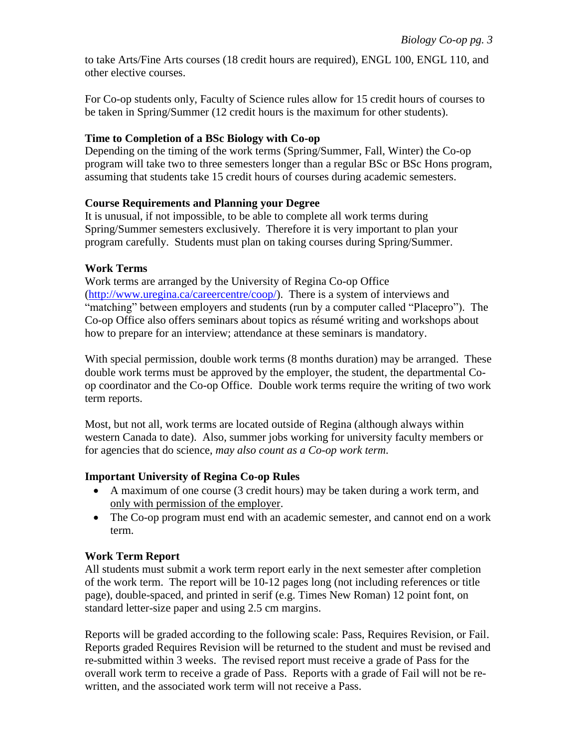to take Arts/Fine Arts courses (18 credit hours are required), ENGL 100, ENGL 110, and other elective courses.

For Co-op students only, Faculty of Science rules allow for 15 credit hours of courses to be taken in Spring/Summer (12 credit hours is the maximum for other students).

### **Time to Completion of a BSc Biology with Co-op**

Depending on the timing of the work terms (Spring/Summer, Fall, Winter) the Co-op program will take two to three semesters longer than a regular BSc or BSc Hons program, assuming that students take 15 credit hours of courses during academic semesters.

### **Course Requirements and Planning your Degree**

It is unusual, if not impossible, to be able to complete all work terms during Spring/Summer semesters exclusively. Therefore it is very important to plan your program carefully. Students must plan on taking courses during Spring/Summer.

### **Work Terms**

Work terms are arranged by the University of Regina Co-op Office [\(http://www.uregina.ca/careercentre/coop/\)](http://www.uregina.ca/careercentre/coop/). There is a system of interviews and "matching" between employers and students (run by a computer called "Placepro"). The Co-op Office also offers seminars about topics as résumé writing and workshops about how to prepare for an interview; attendance at these seminars is mandatory.

With special permission, double work terms (8 months duration) may be arranged. These double work terms must be approved by the employer, the student, the departmental Coop coordinator and the Co-op Office. Double work terms require the writing of two work term reports.

Most, but not all, work terms are located outside of Regina (although always within western Canada to date). Also, summer jobs working for university faculty members or for agencies that do science, *may also count as a Co-op work term*.

# **Important University of Regina Co-op Rules**

- A maximum of one course (3 credit hours) may be taken during a work term, and only with permission of the employer.
- The Co-op program must end with an academic semester, and cannot end on a work term.

# **Work Term Report**

All students must submit a work term report early in the next semester after completion of the work term. The report will be 10-12 pages long (not including references or title page), double-spaced, and printed in serif (e.g. Times New Roman) 12 point font, on standard letter-size paper and using 2.5 cm margins.

Reports will be graded according to the following scale: Pass, Requires Revision, or Fail. Reports graded Requires Revision will be returned to the student and must be revised and re-submitted within 3 weeks. The revised report must receive a grade of Pass for the overall work term to receive a grade of Pass. Reports with a grade of Fail will not be rewritten, and the associated work term will not receive a Pass.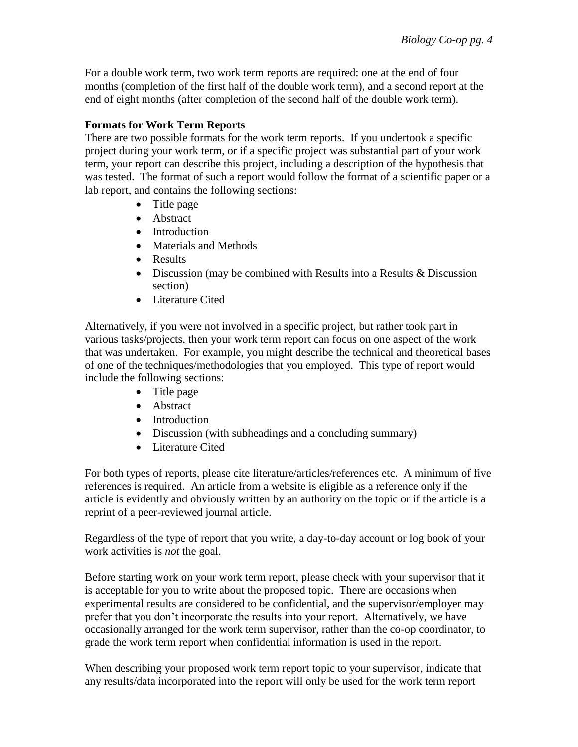For a double work term, two work term reports are required: one at the end of four months (completion of the first half of the double work term), and a second report at the end of eight months (after completion of the second half of the double work term).

# **Formats for Work Term Reports**

There are two possible formats for the work term reports. If you undertook a specific project during your work term, or if a specific project was substantial part of your work term, your report can describe this project, including a description of the hypothesis that was tested. The format of such a report would follow the format of a scientific paper or a lab report, and contains the following sections:

- Title page
- Abstract
- Introduction
- Materials and Methods
- Results
- Discussion (may be combined with Results into a Results & Discussion section)
- Literature Cited

Alternatively, if you were not involved in a specific project, but rather took part in various tasks/projects, then your work term report can focus on one aspect of the work that was undertaken. For example, you might describe the technical and theoretical bases of one of the techniques/methodologies that you employed. This type of report would include the following sections:

- Title page
- Abstract
- Introduction
- Discussion (with subheadings and a concluding summary)
- Literature Cited

For both types of reports, please cite literature/articles/references etc. A minimum of five references is required. An article from a website is eligible as a reference only if the article is evidently and obviously written by an authority on the topic or if the article is a reprint of a peer-reviewed journal article.

Regardless of the type of report that you write, a day-to-day account or log book of your work activities is *not* the goal.

Before starting work on your work term report, please check with your supervisor that it is acceptable for you to write about the proposed topic. There are occasions when experimental results are considered to be confidential, and the supervisor/employer may prefer that you don't incorporate the results into your report. Alternatively, we have occasionally arranged for the work term supervisor, rather than the co-op coordinator, to grade the work term report when confidential information is used in the report.

When describing your proposed work term report topic to your supervisor, indicate that any results/data incorporated into the report will only be used for the work term report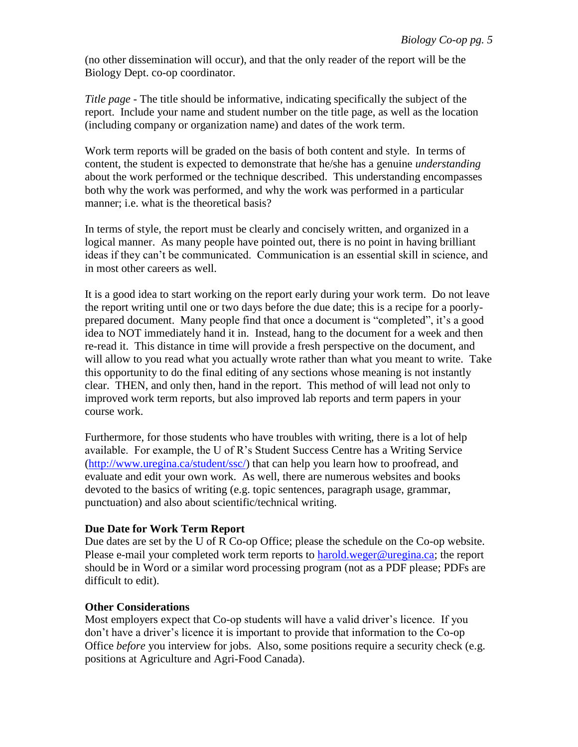(no other dissemination will occur), and that the only reader of the report will be the Biology Dept. co-op coordinator.

*Title page* - The title should be informative, indicating specifically the subject of the report. Include your name and student number on the title page, as well as the location (including company or organization name) and dates of the work term.

Work term reports will be graded on the basis of both content and style. In terms of content, the student is expected to demonstrate that he/she has a genuine *understanding* about the work performed or the technique described. This understanding encompasses both why the work was performed, and why the work was performed in a particular manner; i.e. what is the theoretical basis?

In terms of style, the report must be clearly and concisely written, and organized in a logical manner. As many people have pointed out, there is no point in having brilliant ideas if they can't be communicated. Communication is an essential skill in science, and in most other careers as well.

It is a good idea to start working on the report early during your work term. Do not leave the report writing until one or two days before the due date; this is a recipe for a poorlyprepared document. Many people find that once a document is "completed", it's a good idea to NOT immediately hand it in. Instead, hang to the document for a week and then re-read it. This distance in time will provide a fresh perspective on the document, and will allow to you read what you actually wrote rather than what you meant to write. Take this opportunity to do the final editing of any sections whose meaning is not instantly clear. THEN, and only then, hand in the report. This method of will lead not only to improved work term reports, but also improved lab reports and term papers in your course work.

Furthermore, for those students who have troubles with writing, there is a lot of help available. For example, the U of R's Student Success Centre has a Writing Service [\(http://www.uregina.ca/student/ssc/\)](http://www.uregina.ca/student/ssc/) that can help you learn how to proofread, and evaluate and edit your own work. As well, there are numerous websites and books devoted to the basics of writing (e.g. topic sentences, paragraph usage, grammar, punctuation) and also about scientific/technical writing.

#### **Due Date for Work Term Report**

Due dates are set by the U of R Co-op Office; please the schedule on the Co-op website. Please e-mail your completed work term reports to [harold.weger@uregina.ca;](mailto:harold.weger@uregina.ca) the report should be in Word or a similar word processing program (not as a PDF please; PDFs are difficult to edit).

# **Other Considerations**

Most employers expect that Co-op students will have a valid driver's licence. If you don't have a driver's licence it is important to provide that information to the Co-op Office *before* you interview for jobs. Also, some positions require a security check (e.g. positions at Agriculture and Agri-Food Canada).